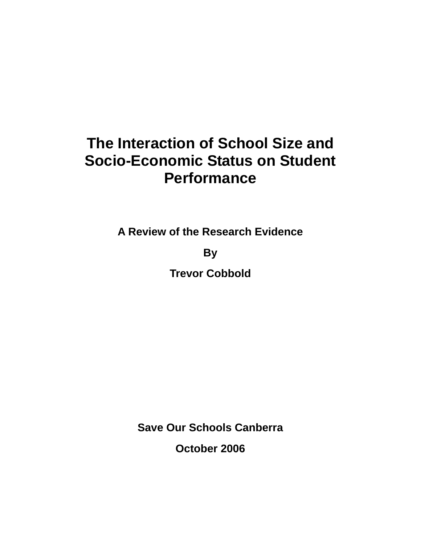# **The Interaction of School Size and Socio-Economic Status on Student Performance**

**A Review of the Research Evidence** 

**By** 

**Trevor Cobbold** 

**Save Our Schools Canberra** 

**October 2006**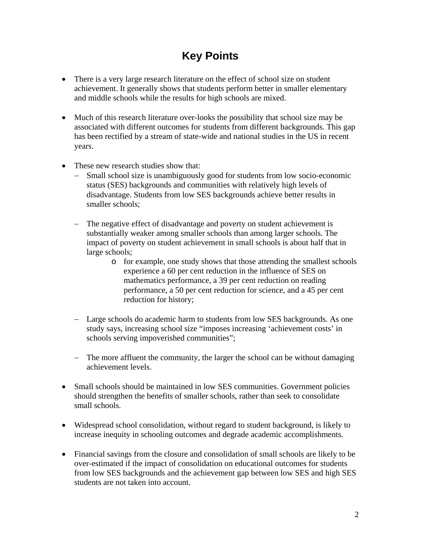# **Key Points**

- There is a very large research literature on the effect of school size on student achievement. It generally shows that students perform better in smaller elementary and middle schools while the results for high schools are mixed.
- Much of this research literature over-looks the possibility that school size may be associated with different outcomes for students from different backgrounds. This gap has been rectified by a stream of state-wide and national studies in the US in recent years.
- These new research studies show that:
	- − Small school size is unambiguously good for students from low socio-economic status (SES) backgrounds and communities with relatively high levels of disadvantage. Students from low SES backgrounds achieve better results in smaller schools;
	- − The negative effect of disadvantage and poverty on student achievement is substantially weaker among smaller schools than among larger schools. The impact of poverty on student achievement in small schools is about half that in large schools;
		- o for example, one study shows that those attending the smallest schools experience a 60 per cent reduction in the influence of SES on mathematics performance, a 39 per cent reduction on reading performance, a 50 per cent reduction for science, and a 45 per cent reduction for history;
	- − Large schools do academic harm to students from low SES backgrounds. As one study says, increasing school size "imposes increasing 'achievement costs' in schools serving impoverished communities";
	- − The more affluent the community, the larger the school can be without damaging achievement levels.
- Small schools should be maintained in low SES communities. Government policies should strengthen the benefits of smaller schools, rather than seek to consolidate small schools.
- Widespread school consolidation, without regard to student background, is likely to increase inequity in schooling outcomes and degrade academic accomplishments.
- Financial savings from the closure and consolidation of small schools are likely to be over-estimated if the impact of consolidation on educational outcomes for students from low SES backgrounds and the achievement gap between low SES and high SES students are not taken into account.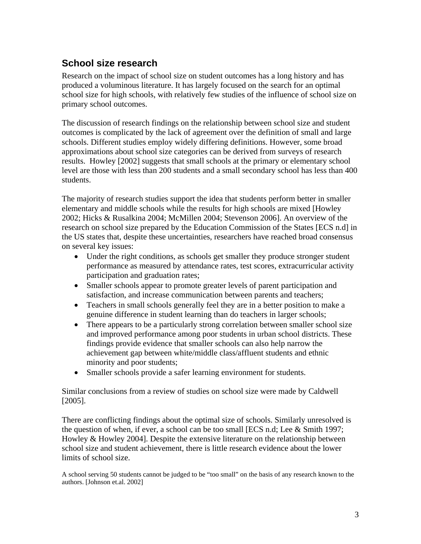# **School size research**

Research on the impact of school size on student outcomes has a long history and has produced a voluminous literature. It has largely focused on the search for an optimal school size for high schools, with relatively few studies of the influence of school size on primary school outcomes.

The discussion of research findings on the relationship between school size and student outcomes is complicated by the lack of agreement over the definition of small and large schools. Different studies employ widely differing definitions. However, some broad approximations about school size categories can be derived from surveys of research results. Howley [2002] suggests that small schools at the primary or elementary school level are those with less than 200 students and a small secondary school has less than 400 students.

The majority of research studies support the idea that students perform better in smaller elementary and middle schools while the results for high schools are mixed [Howley 2002; Hicks & Rusalkina 2004; McMillen 2004; Stevenson 2006]. An overview of the research on school size prepared by the Education Commission of the States [ECS n.d] in the US states that, despite these uncertainties, researchers have reached broad consensus on several key issues:

- Under the right conditions, as schools get smaller they produce stronger student performance as measured by attendance rates, test scores, extracurricular activity participation and graduation rates;
- Smaller schools appear to promote greater levels of parent participation and satisfaction, and increase communication between parents and teachers;
- Teachers in small schools generally feel they are in a better position to make a genuine difference in student learning than do teachers in larger schools;
- There appears to be a particularly strong correlation between smaller school size and improved performance among poor students in urban school districts. These findings provide evidence that smaller schools can also help narrow the achievement gap between white/middle class/affluent students and ethnic minority and poor students;
- Smaller schools provide a safer learning environment for students.

Similar conclusions from a review of studies on school size were made by Caldwell [2005].

There are conflicting findings about the optimal size of schools. Similarly unresolved is the question of when, if ever, a school can be too small [ECS n.d; Lee & Smith 1997; Howley & Howley 2004]. Despite the extensive literature on the relationship between school size and student achievement, there is little research evidence about the lower limits of school size.

A school serving 50 students cannot be judged to be "too small" on the basis of any research known to the authors. [Johnson et.al. 2002]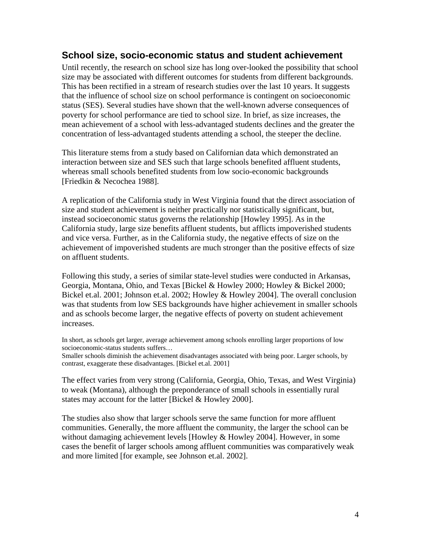#### **School size, socio-economic status and student achievement**

Until recently, the research on school size has long over-looked the possibility that school size may be associated with different outcomes for students from different backgrounds. This has been rectified in a stream of research studies over the last 10 years. It suggests that the influence of school size on school performance is contingent on socioeconomic status (SES). Several studies have shown that the well-known adverse consequences of poverty for school performance are tied to school size. In brief, as size increases, the mean achievement of a school with less-advantaged students declines and the greater the concentration of less-advantaged students attending a school, the steeper the decline.

This literature stems from a study based on Californian data which demonstrated an interaction between size and SES such that large schools benefited affluent students, whereas small schools benefited students from low socio-economic backgrounds [Friedkin & Necochea 1988].

A replication of the California study in West Virginia found that the direct association of size and student achievement is neither practically nor statistically significant, but, instead socioeconomic status governs the relationship [Howley 1995]. As in the California study, large size benefits affluent students, but afflicts impoverished students and vice versa. Further, as in the California study, the negative effects of size on the achievement of impoverished students are much stronger than the positive effects of size on affluent students.

Following this study, a series of similar state-level studies were conducted in Arkansas, Georgia, Montana, Ohio, and Texas [Bickel & Howley 2000; Howley & Bickel 2000; Bickel et.al. 2001; Johnson et.al. 2002; Howley & Howley 2004]. The overall conclusion was that students from low SES backgrounds have higher achievement in smaller schools and as schools become larger, the negative effects of poverty on student achievement increases.

In short, as schools get larger, average achievement among schools enrolling larger proportions of low socioeconomic-status students suffers…

Smaller schools diminish the achievement disadvantages associated with being poor. Larger schools, by contrast, exaggerate these disadvantages. [Bickel et.al. 2001]

The effect varies from very strong (California, Georgia, Ohio, Texas, and West Virginia) to weak (Montana), although the preponderance of small schools in essentially rural states may account for the latter [Bickel & Howley 2000].

The studies also show that larger schools serve the same function for more affluent communities. Generally, the more affluent the community, the larger the school can be without damaging achievement levels [Howley & Howley 2004]. However, in some cases the benefit of larger schools among affluent communities was comparatively weak and more limited [for example, see Johnson et.al. 2002].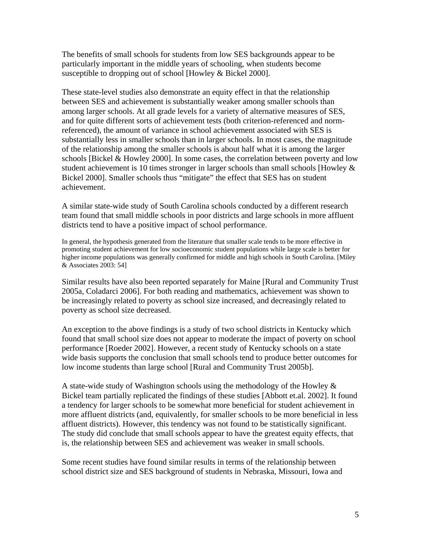The benefits of small schools for students from low SES backgrounds appear to be particularly important in the middle years of schooling, when students become susceptible to dropping out of school [Howley & Bickel 2000].

These state-level studies also demonstrate an equity effect in that the relationship between SES and achievement is substantially weaker among smaller schools than among larger schools. At all grade levels for a variety of alternative measures of SES, and for quite different sorts of achievement tests (both criterion-referenced and normreferenced), the amount of variance in school achievement associated with SES is substantially less in smaller schools than in larger schools. In most cases, the magnitude of the relationship among the smaller schools is about half what it is among the larger schools [Bickel & Howley 2000]. In some cases, the correlation between poverty and low student achievement is 10 times stronger in larger schools than small schools [Howley  $\&$ Bickel 2000]. Smaller schools thus "mitigate" the effect that SES has on student achievement.

A similar state-wide study of South Carolina schools conducted by a different research team found that small middle schools in poor districts and large schools in more affluent districts tend to have a positive impact of school performance.

In general, the hypothesis generated from the literature that smaller scale tends to be more effective in promoting student achievement for low socioeconomic student populations while large scale is better for higher income populations was generally confirmed for middle and high schools in South Carolina. [Miley & Associates 2003: 54]

Similar results have also been reported separately for Maine [Rural and Community Trust 2005a, Coladarci 2006]. For both reading and mathematics, achievement was shown to be increasingly related to poverty as school size increased, and decreasingly related to poverty as school size decreased.

An exception to the above findings is a study of two school districts in Kentucky which found that small school size does not appear to moderate the impact of poverty on school performance [Roeder 2002]. However, a recent study of Kentucky schools on a state wide basis supports the conclusion that small schools tend to produce better outcomes for low income students than large school [Rural and Community Trust 2005b].

A state-wide study of Washington schools using the methodology of the Howley  $\&$ Bickel team partially replicated the findings of these studies [Abbott et.al. 2002]. It found a tendency for larger schools to be somewhat more beneficial for student achievement in more affluent districts (and, equivalently, for smaller schools to be more beneficial in less affluent districts). However, this tendency was not found to be statistically significant. The study did conclude that small schools appear to have the greatest equity effects, that is, the relationship between SES and achievement was weaker in small schools.

Some recent studies have found similar results in terms of the relationship between school district size and SES background of students in Nebraska, Missouri, Iowa and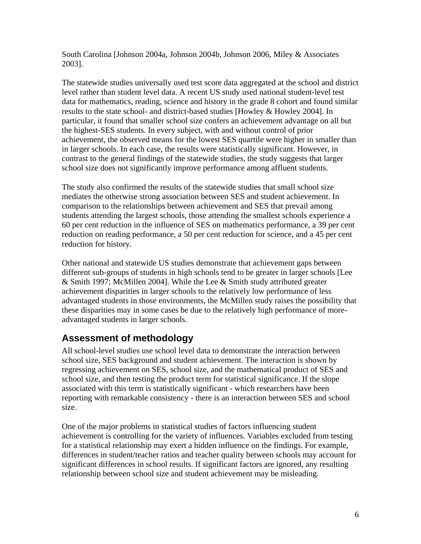South Carolina [Johnson 2004a, Johnson 2004b, Johnson 2006, Miley & Associates 2003].

The statewide studies universally used test score data aggregated at the school and district level rather than student level data. A recent US study used national student-level test data for mathematics, reading, science and history in the grade 8 cohort and found similar results to the state school- and district-based studies [Howley & Howley 2004]. In particular, it found that smaller school size confers an achievement advantage on all but the highest-SES students. In every subject, with and without control of prior achievement, the observed means for the lowest SES quartile were higher in smaller than in larger schools. In each case, the results were statistically significant. However, in contrast to the general findings of the statewide studies, the study suggests that larger school size does not significantly improve performance among affluent students.

The study also confirmed the results of the statewide studies that small school size mediates the otherwise strong association between SES and student achievement. In comparison to the relationships between achievement and SES that prevail among students attending the largest schools, those attending the smallest schools experience a 60 per cent reduction in the influence of SES on mathematics performance, a 39 per cent reduction on reading performance, a 50 per cent reduction for science, and a 45 per cent reduction for history.

Other national and statewide US studies demonstrate that achievement gaps between different sub-groups of students in high schools tend to be greater in larger schools [Lee & Smith 1997; McMillen 2004]. While the Lee & Smith study attributed greater achievement disparities in larger schools to the relatively low performance of less advantaged students in those environments, the McMillen study raises the possibility that these disparities may in some cases be due to the relatively high performance of moreadvantaged students in larger schools.

## **Assessment of methodology**

All school-level studies use school level data to demonstrate the interaction between school size, SES background and student achievement. The interaction is shown by regressing achievement on SES, school size, and the mathematical product of SES and school size, and then testing the product term for statistical significance. If the slope associated with this term is statistically significant - which researchers have been reporting with remarkable consistency - there is an interaction between SES and school size.

One of the major problems in statistical studies of factors influencing student achievement is controlling for the variety of influences. Variables excluded from testing for a statistical relationship may exert a hidden influence on the findings. For example, differences in student/teacher ratios and teacher quality between schools may account for significant differences in school results. If significant factors are ignored, any resulting relationship between school size and student achievement may be misleading.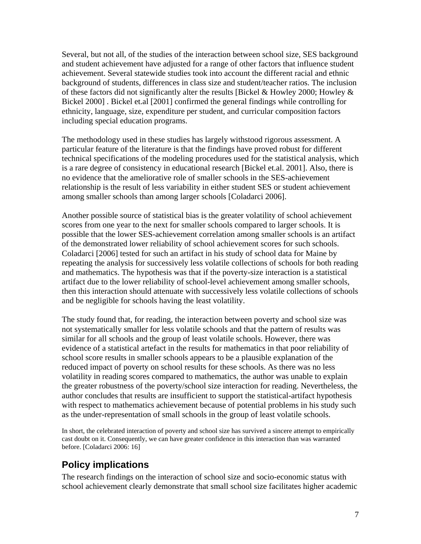Several, but not all, of the studies of the interaction between school size, SES background and student achievement have adjusted for a range of other factors that influence student achievement. Several statewide studies took into account the different racial and ethnic background of students, differences in class size and student/teacher ratios. The inclusion of these factors did not significantly alter the results [Bickel & Howley 2000; Howley  $\&$ Bickel 2000] . Bickel et.al [2001] confirmed the general findings while controlling for ethnicity, language, size, expenditure per student, and curricular composition factors including special education programs.

The methodology used in these studies has largely withstood rigorous assessment. A particular feature of the literature is that the findings have proved robust for different technical specifications of the modeling procedures used for the statistical analysis, which is a rare degree of consistency in educational research [Bickel et.al. 2001]. Also, there is no evidence that the ameliorative role of smaller schools in the SES-achievement relationship is the result of less variability in either student SES or student achievement among smaller schools than among larger schools [Coladarci 2006].

Another possible source of statistical bias is the greater volatility of school achievement scores from one year to the next for smaller schools compared to larger schools. It is possible that the lower SES-achievement correlation among smaller schools is an artifact of the demonstrated lower reliability of school achievement scores for such schools. Coladarci [2006] tested for such an artifact in his study of school data for Maine by repeating the analysis for successively less volatile collections of schools for both reading and mathematics. The hypothesis was that if the poverty-size interaction is a statistical artifact due to the lower reliability of school-level achievement among smaller schools, then this interaction should attenuate with successively less volatile collections of schools and be negligible for schools having the least volatility.

The study found that, for reading, the interaction between poverty and school size was not systematically smaller for less volatile schools and that the pattern of results was similar for all schools and the group of least volatile schools. However, there was evidence of a statistical artefact in the results for mathematics in that poor reliability of school score results in smaller schools appears to be a plausible explanation of the reduced impact of poverty on school results for these schools. As there was no less volatility in reading scores compared to mathematics, the author was unable to explain the greater robustness of the poverty/school size interaction for reading. Nevertheless, the author concludes that results are insufficient to support the statistical-artifact hypothesis with respect to mathematics achievement because of potential problems in his study such as the under-representation of small schools in the group of least volatile schools.

In short, the celebrated interaction of poverty and school size has survived a sincere attempt to empirically cast doubt on it. Consequently, we can have greater confidence in this interaction than was warranted before. [Coladarci 2006: 16]

## **Policy implications**

The research findings on the interaction of school size and socio-economic status with school achievement clearly demonstrate that small school size facilitates higher academic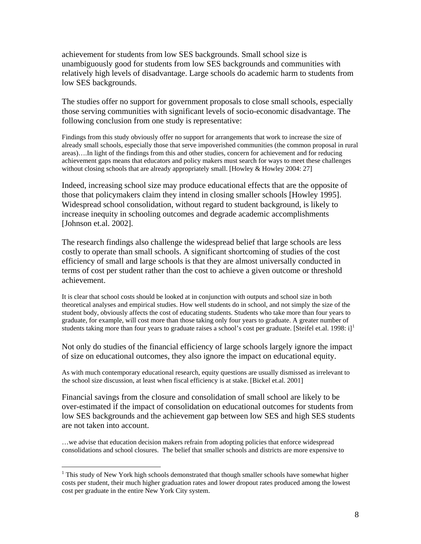achievement for students from low SES backgrounds. Small school size is unambiguously good for students from low SES backgrounds and communities with relatively high levels of disadvantage. Large schools do academic harm to students from low SES backgrounds.

The studies offer no support for government proposals to close small schools, especially those serving communities with significant levels of socio-economic disadvantage. The following conclusion from one study is representative:

Findings from this study obviously offer no support for arrangements that work to increase the size of already small schools, especially those that serve impoverished communities (the common proposal in rural areas)….In light of the findings from this and other studies, concern for achievement and for reducing achievement gaps means that educators and policy makers must search for ways to meet these challenges without closing schools that are already appropriately small. [Howley & Howley 2004: 27]

Indeed, increasing school size may produce educational effects that are the opposite of those that policymakers claim they intend in closing smaller schools [Howley 1995]. Widespread school consolidation, without regard to student background, is likely to increase inequity in schooling outcomes and degrade academic accomplishments [Johnson et.al. 2002].

The research findings also challenge the widespread belief that large schools are less costly to operate than small schools. A significant shortcoming of studies of the cost efficiency of small and large schools is that they are almost universally conducted in terms of cost per student rather than the cost to achieve a given outcome or threshold achievement.

It is clear that school costs should be looked at in conjunction with outputs and school size in both theoretical analyses and empirical studies. How well students do in school, and not simply the size of the student body, obviously affects the cost of educating students. Students who take more than four years to graduate, for example, will cost more than those taking only four years to graduate. A greater number of students taking more than four years to graduate raises a school's cost per graduate. [Steifel et.al. [1](#page-7-0)998: i]<sup>1</sup>

Not only do studies of the financial efficiency of large schools largely ignore the impact of size on educational outcomes, they also ignore the impact on educational equity.

As with much contemporary educational research, equity questions are usually dismissed as irrelevant to the school size discussion, at least when fiscal efficiency is at stake. [Bickel et.al. 2001]

Financial savings from the closure and consolidation of small school are likely to be over-estimated if the impact of consolidation on educational outcomes for students from low SES backgrounds and the achievement gap between low SES and high SES students are not taken into account.

…we advise that education decision makers refrain from adopting policies that enforce widespread consolidations and school closures. The belief that smaller schools and districts are more expensive to

 $\overline{a}$ 

<span id="page-7-0"></span> $1$  This study of New York high schools demonstrated that though smaller schools have somewhat higher costs per student, their much higher graduation rates and lower dropout rates produced among the lowest cost per graduate in the entire New York City system.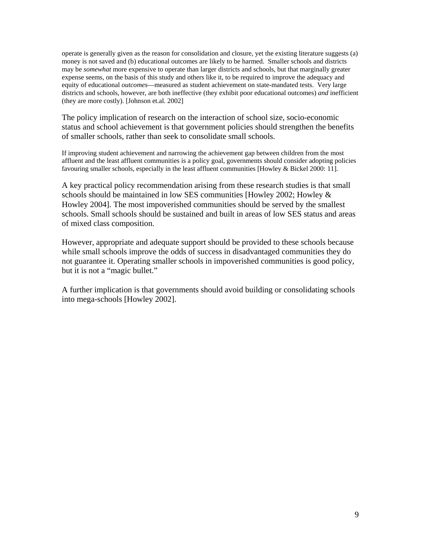operate is generally given as the reason for consolidation and closure, yet the existing literature suggests (a) money is not saved and (b) educational outcomes are likely to be harmed. Smaller schools and districts may be *somewhat* more expensive to operate than larger districts and schools, but that marginally greater expense seems, on the basis of this study and others like it, to be required to improve the adequacy and equity of educational *outcomes*—measured as student achievement on state-mandated tests. Very large districts and schools, however, are both ineffective (they exhibit poor educational outcomes) *and* inefficient (they are more costly). [Johnson et.al. 2002]

The policy implication of research on the interaction of school size, socio-economic status and school achievement is that government policies should strengthen the benefits of smaller schools, rather than seek to consolidate small schools.

If improving student achievement and narrowing the achievement gap between children from the most affluent and the least affluent communities is a policy goal, governments should consider adopting policies favouring smaller schools, especially in the least affluent communities [Howley & Bickel 2000: 11].

A key practical policy recommendation arising from these research studies is that small schools should be maintained in low SES communities [Howley 2002; Howley & Howley 2004]. The most impoverished communities should be served by the smallest schools. Small schools should be sustained and built in areas of low SES status and areas of mixed class composition.

However, appropriate and adequate support should be provided to these schools because while small schools improve the odds of success in disadvantaged communities they do not guarantee it. Operating smaller schools in impoverished communities is good policy, but it is not a "magic bullet."

A further implication is that governments should avoid building or consolidating schools into mega-schools [Howley 2002].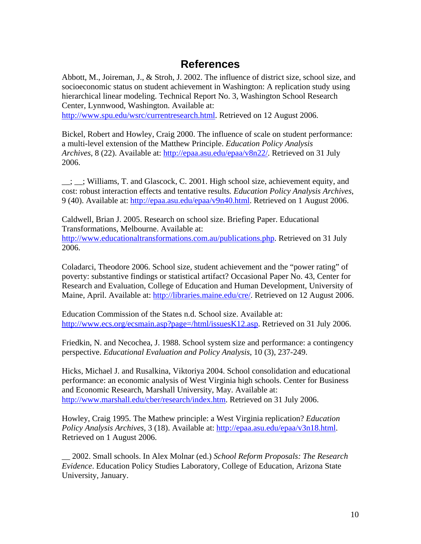# **References**

Abbott, M., Joireman, J., & Stroh, J. 2002. The influence of district size, school size, and socioeconomic status on student achievement in Washington: A replication study using hierarchical linear modeling. Technical Report No. 3, Washington School Research Center, Lynnwood, Washington. Available at:

[http://www.spu.edu/wsrc/currentresearch.html.](http://www.spu.edu/wsrc/currentresearch.html) Retrieved on 12 August 2006.

Bickel, Robert and Howley, Craig 2000. The influence of scale on student performance: a multi-level extension of the Matthew Principle. *Education Policy Analysis Archives*, 8 (22). Available at: [http://epaa.asu.edu/epaa/v8n22/.](http://epaa.asu.edu/epaa/v8n22/) Retrieved on 31 July 2006.

 $\_$ ;  $\_$ ; Williams, T. and Glascock, C. 2001. High school size, achievement equity, and cost: robust interaction effects and tentative results*. Education Policy Analysis Archives*, 9 (40). Available at: <http://epaa.asu.edu/epaa/v9n40.html>. Retrieved on 1 August 2006.

Caldwell, Brian J. 2005. Research on school size. Briefing Paper. Educational Transformations, Melbourne. Available at: <http://www.educationaltransformations.com.au/publications.php>. Retrieved on 31 July 2006.

Coladarci, Theodore 2006. School size, student achievement and the "power rating" of poverty: substantive findings or statistical artifact? Occasional Paper No. 43, Center for Research and Evaluation, College of Education and Human Development, University of Maine, April. Available at: [http://libraries.maine.edu/cre/.](http://libraries.maine.edu/cre/) Retrieved on 12 August 2006.

Education Commission of the States n.d. School size. Available at: <http://www.ecs.org/ecsmain.asp?page=/html/issuesK12.asp>. Retrieved on 31 July 2006.

Friedkin, N. and Necochea, J. 1988. School system size and performance: a contingency perspective. *Educational Evaluation and Policy Analysis*, 10 (3), 237-249.

Hicks, Michael J. and Rusalkina, Viktoriya 2004. School consolidation and educational performance: an economic analysis of West Virginia high schools. Center for Business and Economic Research, Marshall University, May. Available at: <http://www.marshall.edu/cber/research/index.htm>. Retrieved on 31 July 2006.

Howley, Craig 1995. The Mathew principle: a West Virginia replication? *Education Policy Analysis Archives*, 3 (18). Available at:<http://epaa.asu.edu/epaa/v3n18.html>. Retrieved on 1 August 2006.

\_\_ 2002. Small schools. In Alex Molnar (ed.) *School Reform Proposals: The Research Evidence*. Education Policy Studies Laboratory, College of Education, Arizona State University, January.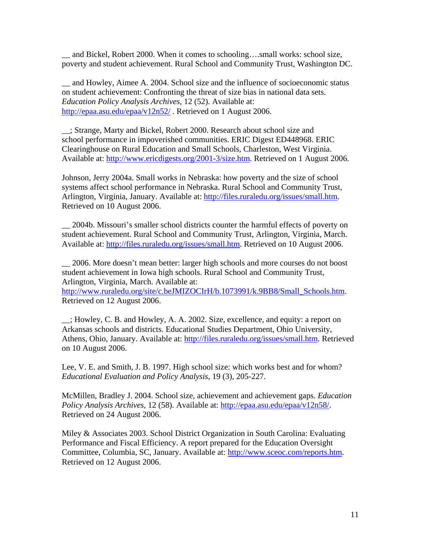and Bickel, Robert 2000. When it comes to schooling….small works: school size, poverty and student achievement. Rural School and Community Trust, Washington DC.

\_\_ and Howley, Aimee A. 2004. School size and the influence of socioeconomic status on student achievement: Confronting the threat of size bias in national data sets. *Education Policy Analysis Archives*, 12 (52). Available at: <http://epaa.asu.edu/epaa/v12n52/>. Retrieved on 1 August 2006.

\_\_; Strange, Marty and Bickel, Robert 2000. Research about school size and school performance in impoverished communities. ERIC Digest ED448968. ERIC Clearinghouse on Rural Education and Small Schools, Charleston, West Virginia. Available at: [http://www.ericdigests.org/2001-3/size.htm.](http://www.ericdigests.org/2001-3/size.htm) Retrieved on 1 August 2006.

Johnson, Jerry 2004a. Small works in Nebraska: how poverty and the size of school systems affect school performance in Nebraska. Rural School and Community Trust, Arlington, Virginia, January. Available at: [http://files.ruraledu.org/issues/small.htm.](http://files.ruraledu.org/issues/small.htm) Retrieved on 10 August 2006.

\_\_ 2004b. Missouri's smaller school districts counter the harmful effects of poverty on student achievement. Rural School and Community Trust, Arlington, Virginia, March. Available at: [http://files.ruraledu.org/issues/small.htm.](http://files.ruraledu.org/issues/small.htm) Retrieved on 10 August 2006.

\_\_ 2006. More doesn't mean better: larger high schools and more courses do not boost student achievement in Iowa high schools. Rural School and Community Trust, Arlington, Virginia, March. Available at:

[http://www.ruraledu.org/site/c.beJMIZOCIrH/b.1073991/k.9BB8/Small\\_Schools.htm](http://www.ruraledu.org/site/c.beJMIZOCIrH/b.1073991/k.9BB8/Small_Schools.htm). Retrieved on 12 August 2006.

\_\_; Howley, C. B. and Howley, A. A. 2002. Size, excellence, and equity: a report on Arkansas schools and districts. Educational Studies Department, Ohio University, Athens, Ohio, January. Available at:<http://files.ruraledu.org/issues/small.htm>. Retrieved on 10 August 2006.

Lee, V. E. and Smith, J. B. 1997. High school size: which works best and for whom? *Educational Evaluation and Policy Analysis*, 19 (3), 205-227.

McMillen, Bradley J. 2004. School size, achievement and achievement gaps. *Education Policy Analysis Archives*, 12 (58). Available at: [http://epaa.asu.edu/epaa/v12n58/.](http://epaa.asu.edu/epaa/v12n58/) Retrieved on 24 August 2006.

Miley & Associates 2003. School District Organization in South Carolina: Evaluating Performance and Fiscal Efficiency. A report prepared for the Education Oversight Committee, Columbia, SC, January. Available at: [http://www.sceoc.com/reports.htm.](http://www.sceoc.com/reports.htm) Retrieved on 12 August 2006.